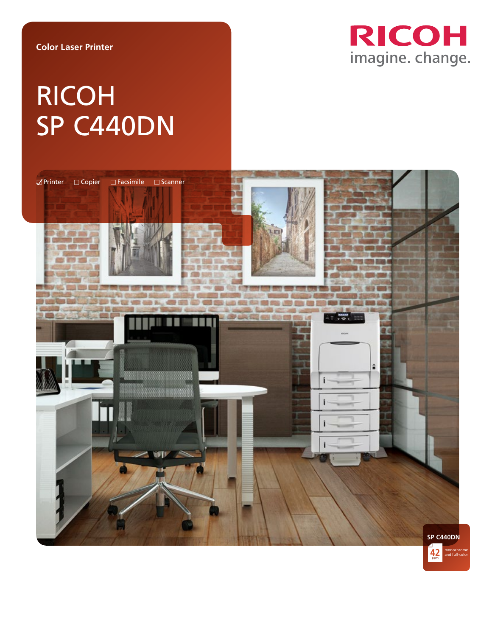

# RICOH SP C440DN

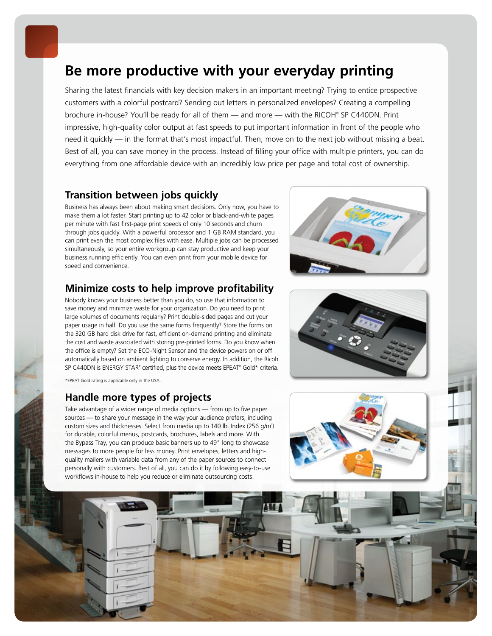## **Be more productive with your everyday printing**

Sharing the latest financials with key decision makers in an important meeting? Trying to entice prospective customers with a colorful postcard? Sending out letters in personalized envelopes? Creating a compelling brochure in-house? You'll be ready for all of them — and more — with the RICOH® SP C440DN. Print impressive, high-quality color output at fast speeds to put important information in front of the people who need it quickly — in the format that's most impactful. Then, move on to the next job without missing a beat. Best of all, you can save money in the process. Instead of filling your office with multiple printers, you can do everything from one affordable device with an incredibly low price per page and total cost of ownership.

## **Transition between jobs quickly**

Business has always been about making smart decisions. Only now, you have to make them a lot faster. Start printing up to 42 color or black-and-white pages per minute with fast first-page print speeds of only 10 seconds and churn through jobs quickly. With a powerful processor and 1 GB RAM standard, you can print even the most complex files with ease. Multiple jobs can be processed simultaneously, so your entire workgroup can stay productive and keep your business running efficiently. You can even print from your mobile device for speed and convenience.

## **Minimize costs to help improve profitability**

Nobody knows your business better than you do, so use that information to save money and minimize waste for your organization. Do you need to print large volumes of documents regularly? Print double-sided pages and cut your paper usage in half. Do you use the same forms frequently? Store the forms on the 320 GB hard disk drive for fast, efficient on-demand printing and eliminate the cost and waste associated with storing pre-printed forms. Do you know when the office is empty? Set the ECO-Night Sensor and the device powers on or off automatically based on ambient lighting to conserve energy. In addition, the Ricoh SP C440DN is ENERGY STAR® certified, plus the device meets EPEAT® Gold\* criteria.

\*EPEAT Gold rating is applicable only in the USA.

### **Handle more types of projects**

Take advantage of a wider range of media options — from up to five paper sources — to share your message in the way your audience prefers, including custom sizes and thicknesses. Select from media up to 140 lb. Index (256 g/m<sup>2</sup>) for durable, colorful menus, postcards, brochures, labels and more. With the Bypass Tray, you can produce basic banners up to 49" long to showcase messages to more people for less money. Print envelopes, letters and highquality mailers with variable data from any of the paper sources to connect personally with customers. Best of all, you can do it by following easy-to-use workflows in-house to help you reduce or eliminate outsourcing costs.





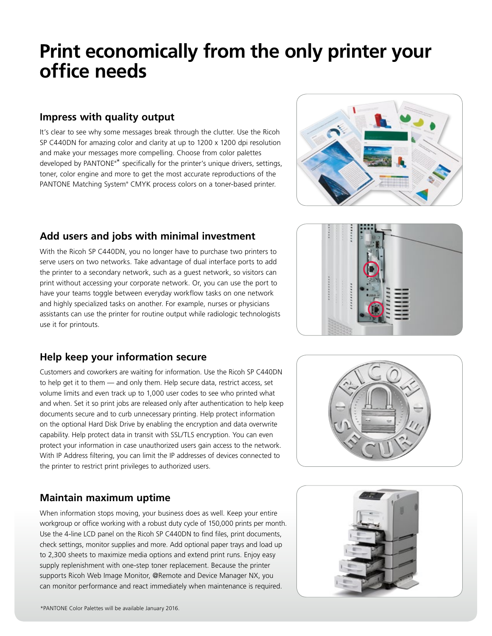## **Print economically from the only printer your office needs**

## **Impress with quality output**

It's clear to see why some messages break through the clutter. Use the Ricoh SP C440DN for amazing color and clarity at up to 1200 x 1200 dpi resolution and make your messages more compelling. Choose from color palettes developed by PANTONE®\* specifically for the printer's unique drivers, settings, toner, color engine and more to get the most accurate reproductions of the PANTONE Matching System® CMYK process colors on a toner-based printer.



## **Add users and jobs with minimal investment**

With the Ricoh SP C440DN, you no longer have to purchase two printers to serve users on two networks. Take advantage of dual interface ports to add the printer to a secondary network, such as a guest network, so visitors can print without accessing your corporate network. Or, you can use the port to have your teams toggle between everyday workflow tasks on one network and highly specialized tasks on another. For example, nurses or physicians assistants can use the printer for routine output while radiologic technologists use it for printouts.

## **Help keep your information secure**

Customers and coworkers are waiting for information. Use the Ricoh SP C440DN to help get it to them — and only them. Help secure data, restrict access, set volume limits and even track up to 1,000 user codes to see who printed what and when. Set it so print jobs are released only after authentication to help keep documents secure and to curb unnecessary printing. Help protect information on the optional Hard Disk Drive by enabling the encryption and data overwrite capability. Help protect data in transit with SSL/TLS encryption. You can even protect your information in case unauthorized users gain access to the network. With IP Address filtering, you can limit the IP addresses of devices connected to the printer to restrict print privileges to authorized users.

## **Maintain maximum uptime**

When information stops moving, your business does as well. Keep your entire workgroup or office working with a robust duty cycle of 150,000 prints per month. Use the 4-line LCD panel on the Ricoh SP C440DN to find files, print documents, check settings, monitor supplies and more. Add optional paper trays and load up to 2,300 sheets to maximize media options and extend print runs. Enjoy easy supply replenishment with one-step toner replacement. Because the printer supports Ricoh Web Image Monitor, @Remote and Device Manager NX, you can monitor performance and react immediately when maintenance is required.